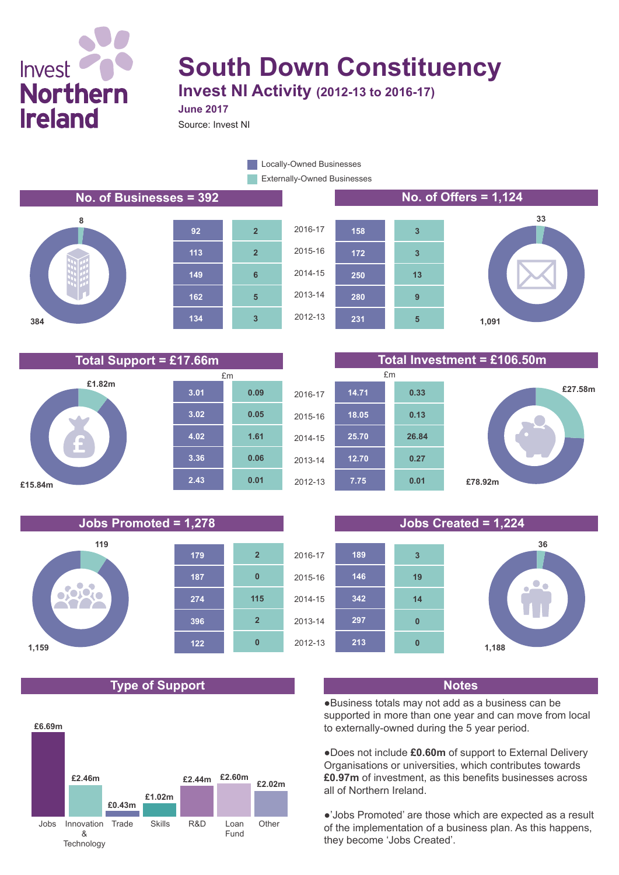

# **South Down Constituency Invest NI Activity (2012-13 to 2016-17)**

**June 2017**

Source: Invest NI

Externally-Owned Businesses **Locally-Owned Businesses** 











**Total Support = £17.66m Total Investment = £106.50m**









# **Type of Support Notes**





●Business totals may not add as a business can be supported in more than one year and can move from local to externally-owned during the 5 year period.

●Does not include **£0.60m** of support to External Delivery Organisations or universities, which contributes towards **£0.97m** of investment, as this benefits businesses across all of Northern Ireland.

●'Jobs Promoted' are those which are expected as a result of the implementation of a business plan. As this happens, they become 'Jobs Created'.